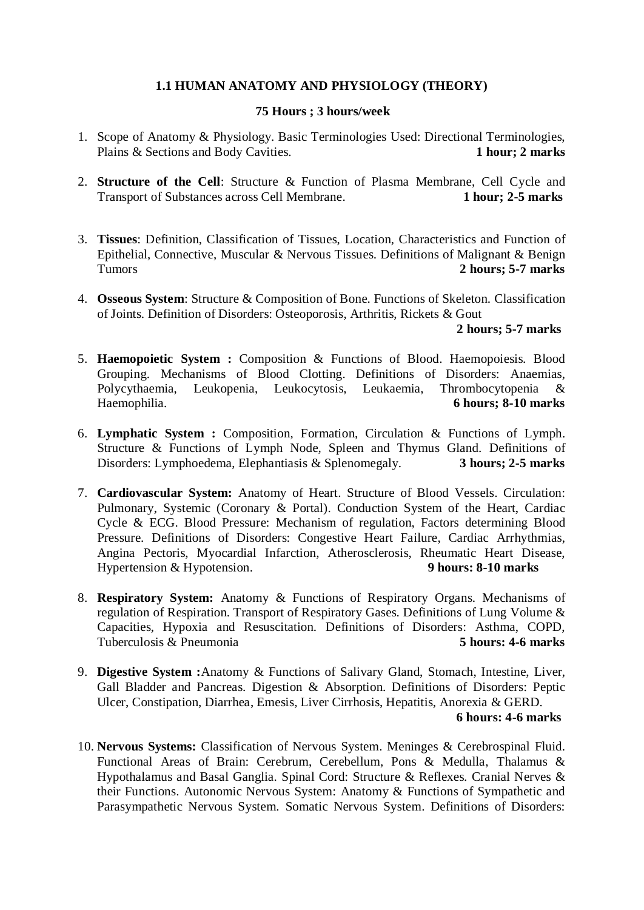# **1.1 HUMAN ANATOMY AND PHYSIOLOGY (THEORY)**

### **75 Hours ; 3 hours/week**

- 1. Scope of Anatomy & Physiology. Basic Terminologies Used: Directional Terminologies, Plains & Sections and Body Cavities. **1 hour; 2 marks**
- 2. **Structure of the Cell**: Structure & Function of Plasma Membrane, Cell Cycle and Transport of Substances across Cell Membrane. 1 hour: 2-5 marks **Transport of Substances across Cell Membrane.**
- 3. **Tissues**: Definition, Classification of Tissues, Location, Characteristics and Function of Epithelial, Connective, Muscular & Nervous Tissues. Definitions of Malignant & Benign Tumors **2 hours; 5-7 marks**
- 4. **Osseous System**: Structure & Composition of Bone. Functions of Skeleton. Classification of Joints. Definition of Disorders: Osteoporosis, Arthritis, Rickets & Gout

## **2 hours; 5-7 marks**

- 5. **Haemopoietic System :** Composition & Functions of Blood. Haemopoiesis. Blood Grouping. Mechanisms of Blood Clotting. Definitions of Disorders: Anaemias, Polycythaemia, Leukopenia, Leukocytosis, Leukaemia, Thrombocytopenia & Haemophilia. **6 hours; 8-10 marks**
- 6. **Lymphatic System :** Composition, Formation, Circulation & Functions of Lymph. Structure & Functions of Lymph Node, Spleen and Thymus Gland. Definitions of Disorders: Lymphoedema, Elephantiasis & Splenomegaly. **3 hours; 2-5 marks**
- 7. **Cardiovascular System:** Anatomy of Heart. Structure of Blood Vessels. Circulation: Pulmonary, Systemic (Coronary & Portal). Conduction System of the Heart, Cardiac Cycle & ECG. Blood Pressure: Mechanism of regulation, Factors determining Blood Pressure. Definitions of Disorders: Congestive Heart Failure, Cardiac Arrhythmias, Angina Pectoris, Myocardial Infarction, Atherosclerosis, Rheumatic Heart Disease, Hypertension & Hypotension. **9 hours: 8-10 marks**
- 8. **Respiratory System:** Anatomy & Functions of Respiratory Organs. Mechanisms of regulation of Respiration. Transport of Respiratory Gases. Definitions of Lung Volume & Capacities, Hypoxia and Resuscitation. Definitions of Disorders: Asthma, COPD, Tuberculosis & Pneumonia **5 hours: 4-6 marks**
- 9. **Digestive System :**Anatomy & Functions of Salivary Gland, Stomach, Intestine, Liver, Gall Bladder and Pancreas. Digestion & Absorption. Definitions of Disorders: Peptic Ulcer, Constipation, Diarrhea, Emesis, Liver Cirrhosis, Hepatitis, Anorexia & GERD. **6 hours: 4-6 marks**
- 10. **Nervous Systems:** Classification of Nervous System. Meninges & Cerebrospinal Fluid. Functional Areas of Brain: Cerebrum, Cerebellum, Pons & Medulla, Thalamus & Hypothalamus and Basal Ganglia. Spinal Cord: Structure & Reflexes. Cranial Nerves & their Functions. Autonomic Nervous System: Anatomy & Functions of Sympathetic and Parasympathetic Nervous System. Somatic Nervous System. Definitions of Disorders: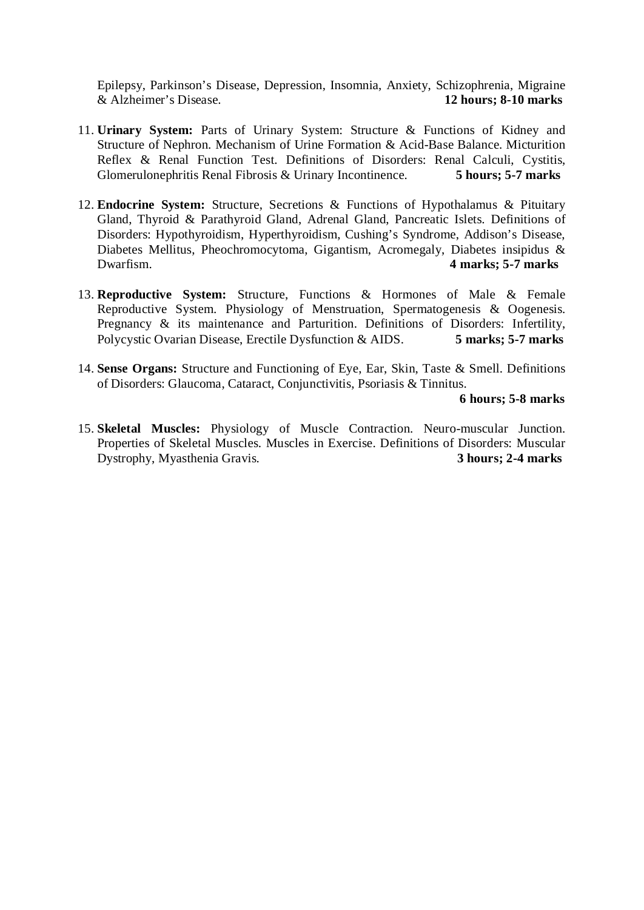Epilepsy, Parkinson's Disease, Depression, Insomnia, Anxiety, Schizophrenia, Migraine & Alzheimer's Disease. **12 hours; 8-10 marks**

- 11. **Urinary System:** Parts of Urinary System: Structure & Functions of Kidney and Structure of Nephron. Mechanism of Urine Formation & Acid-Base Balance. Micturition Reflex & Renal Function Test. Definitions of Disorders: Renal Calculi, Cystitis, Glomerulonephritis Renal Fibrosis & Urinary Incontinence. **5 hours; 5-7 marks**
- 12. **Endocrine System:** Structure, Secretions & Functions of Hypothalamus & Pituitary Gland, Thyroid & Parathyroid Gland, Adrenal Gland, Pancreatic Islets. Definitions of Disorders: Hypothyroidism, Hyperthyroidism, Cushing's Syndrome, Addison's Disease, Diabetes Mellitus, Pheochromocytoma, Gigantism, Acromegaly, Diabetes insipidus & Dwarfism. **4 marks; 5-7 marks**
- 13. **Reproductive System:** Structure, Functions & Hormones of Male & Female Reproductive System. Physiology of Menstruation, Spermatogenesis & Oogenesis. Pregnancy & its maintenance and Parturition. Definitions of Disorders: Infertility, Polycystic Ovarian Disease, Erectile Dysfunction & AIDS. **5 marks; 5-7 marks**
- 14. **Sense Organs:** Structure and Functioning of Eye, Ear, Skin, Taste & Smell. Definitions of Disorders: Glaucoma, Cataract, Conjunctivitis, Psoriasis & Tinnitus.

## **6 hours; 5-8 marks**

15. **Skeletal Muscles:** Physiology of Muscle Contraction. Neuro-muscular Junction. Properties of Skeletal Muscles. Muscles in Exercise. Definitions of Disorders: Muscular Dystrophy, Myasthenia Gravis. **3 hours; 2-4 marks**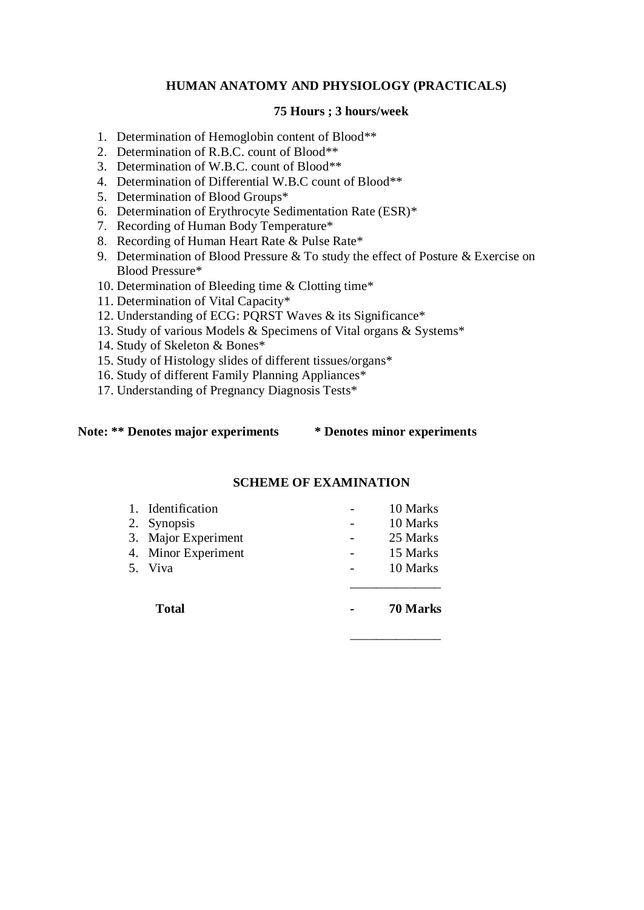# **HUMAN ANATOMY AND PHYSIOLOGY (PRACTICALS)**

### **75 Hours ; 3 hours/week**

- 1. Determination of Hemoglobin content of Blood\*\*
- 2. Determination of R.B.C. count of Blood\*\*
- 3. Determination of W.B.C. count of Blood\*\*
- 4. Determination of Differential W.B.C count of Blood\*\*
- 5. Determination of Blood Groups\*
- 6. Determination of Erythrocyte Sedimentation Rate (ESR)\*
- 7. Recording of Human Body Temperature\*
- 8. Recording of Human Heart Rate & Pulse Rate\*
- 9. Determination of Blood Pressure & To study the effect of Posture & Exercise on Blood Pressure\*
- 10. Determination of Bleeding time & Clotting time\*
- 11. Determination of Vital Capacity\*
- 12. Understanding of ECG: PQRST Waves & its Significance\*
- 13. Study of various Models & Specimens of Vital organs & Systems\*
- 14. Study of Skeleton & Bones\*
- 15. Study of Histology slides of different tissues/organs\*
- 16. Study of different Family Planning Appliances\*
- 17. Understanding of Pregnancy Diagnosis Tests\*

#### **Note: \*\* Denotes major experiments \* Denotes minor experiments**

\_\_\_\_\_\_\_\_\_\_\_\_\_\_

## **SCHEME OF EXAMINATION**

| 5. Viva             | 10 Marks |
|---------------------|----------|
| 4. Minor Experiment | 15 Marks |
| 3. Major Experiment | 25 Marks |
| 2. Synopsis         | 10 Marks |
| 1. Identification   | 10 Marks |